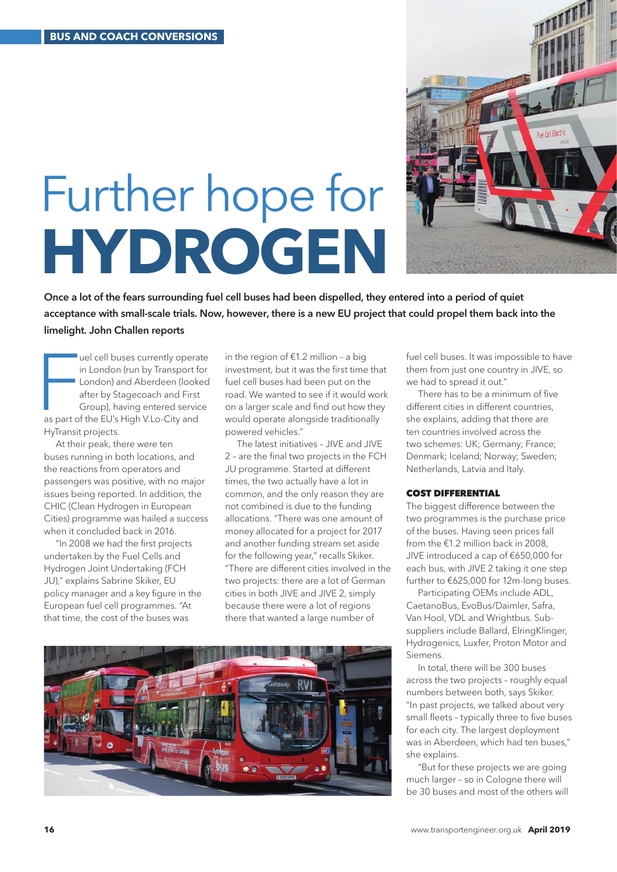## Further hope for **HYDROGEN**



Once a lot of the fears surrounding fuel cell buses had been dispelled, they entered into a period of quiet acceptance with small-scale trials. Now, however, there is a new EU project that could propel them back into the limelight. John Challen reports

The uel cell buses currently opera<br>
in London (run by Transport for<br>
London) and Aberdeen (looke<br>
after by Stagecoach and First<br>
Group), having entered service<br>
as part of the EU's High V.Lo-City and uel cell buses currently operate in London (run by Transport for London) and Aberdeen (looked after by Stagecoach and First Group), having entered service HyTransit projects.

At their peak, there were ten buses running in both locations, and the reactions from operators and passengers was positive, with no major issues being reported. In addition, the CHIC (Clean Hydrogen in European Cities) programme was hailed a success when it concluded back in 2016.

"In 2008 we had the first projects undertaken by the Fuel Cells and Hydrogen Joint Undertaking (FCH JU)," explains Sabrine Skiker, EU policy manager and a key figure in the European fuel cell programmes. "At that time, the cost of the buses was

in the region of  $£1.2$  million - a big investment, but it was the first time that fuel cell buses had been put on the road. We wanted to see if it would work on a larger scale and find out how they would operate alongside traditionally powered vehicles."

The latest initiatives – JIVE and JIVE 2 – are the final two projects in the FCH JU programme. Started at different times, the two actually have a lot in common, and the only reason they are not combined is due to the funding allocations. "There was one amount of money allocated for a project for 2017 and another funding stream set aside for the following year," recalls Skiker. "There are different cities involved in the two projects: there are a lot of German cities in both JIVE and JIVE 2, simply because there were a lot of regions there that wanted a large number of



fuel cell buses. It was impossible to have them from just one country in JIVE, so we had to spread it out."

There has to be a minimum of five different cities in different countries, she explains, adding that there are ten countries involved across the two schemes: UK; Germany; France; Denmark; Iceland; Norway; Sweden; Netherlands, Latvia and Italy.

## COST DIFFERENTIAL

The biggest difference between the two programmes is the purchase price of the buses. Having seen prices fall from the €1.2 million back in 2008, JIVE introduced a cap of €650,000 for each bus, with JIVE 2 taking it one step further to €625,000 for 12m-long buses.

Participating OEMs include ADL, CaetanoBus, EvoBus/Daimler, Safra, Van Hool, VDL and Wrightbus. Subsuppliers include Ballard, ElringKlinger, Hydrogenics, Luxfer, Proton Motor and Siemens.

In total, there will be 300 buses across the two projects – roughly equal numbers between both, says Skiker. "In past projects, we talked about very small fleets – typically three to five buses for each city. The largest deployment was in Aberdeen, which had ten buses," she explains.

"But for these projects we are going much larger – so in Cologne there will be 30 buses and most of the others will